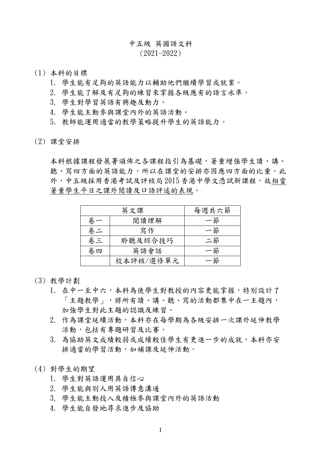## 中五級 英國語文科

## $(2021 - 2022)$

- (1) 本科的目標
	- 1. 學生能有足夠的英語能力以輔助他們繼續學習或就業。
	- 2. 學生能了解及有足夠的練習來掌握各級應有的語言水準。
	- 3. 學生對學習英語有興趣及動力。
	- 4. 學生能主動參與課堂內外的英語活動。
	- 5. 教師能運用適當的教學策略提升學生的英語能力。
- (2) 課堂安排

本科根據課程發展署頒佈之各課程指引為基礎,著重增強學生讀、講、 聽、寫四方面的英語能力,所以在課堂的安排亦因應四方面的比重。此 外,中五級採用香港考試及評核局 2015 香港中學文憑試新課程,故相當 著重學生平日之課外閱讀及口語評述的表現。

| 英文課 |           | 每週共六節 |
|-----|-----------|-------|
| 卷.  | 閱讀理解      | 一節    |
| 卷二  | 寫作        | 一節    |
| 卷三  | 聆聽及綜合技巧   | 二節    |
| 卷四  | 英語會話      | - 節   |
|     | 校本評核/選修單元 | - 節   |

- (3) 教學計劃
	- 1. 在中一至中六,本科為使學生對教授的內容更能掌握,特別設計了 「主題教學」,將所有讀、講、聽、寫的活動都集中在一主題內, 加強學生對此主題的認識及練習。
	- 2. 作為課堂延續活動,本科亦在每學期為各級安排一次課外延伸教學 活動,包括有專題研習及比賽。
	- 3. 為協助英文成績較弱或成績較佳學生有更進一步的成就,本科亦安 排適當的學習活動,如補課及延伸活動。
- (4) 對學生的期望
	- 1. 學生對英語運用具自信心
	- 2. 學生能與別人用英語傳意溝通
	- 3. 學生能主動投入及積極參與課堂內外的英語活動
	- 4. 學生能自發地尋求進步及協助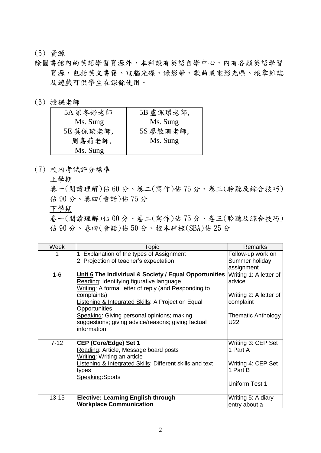## (5) 資源

- 除圖書館內的英語學習資源外,本科設有英語自學中心,內有各類英語學習 資源,包括英文書籍、電腦光碟、錄影帶、歌曲或電影光碟、報章雜誌 及遊戲可供學生在課餘使用。
- (6) 授課老師

| 5A 梁冬妤老師  | 5B 盧佩環老師, |
|-----------|-----------|
| Ms. Sung  | Ms. Sung  |
| 5E 莫佩璇老師, | 5S 廖敏珊老師, |
| 周嘉莉老師,    | Ms. Sung  |
| Ms. Sung  |           |

(7) 校內考試評分標準

上學期

卷一(閱讀理解)佔 60 分、卷二(寫作)佔 75 分、卷三(聆聽及綜合技巧) 佔 90 分、卷四(會話)佔 75 分

下學期

卷一(閱讀理解)佔 60 分、卷二(寫作)佔 75 分、卷三(聆聽及綜合技巧) 佔 90 分、卷四(會話)佔 50 分、校本評核(SBA)佔 25 分

| Week      | Topic                                                    | <b>Remarks</b>                      |
|-----------|----------------------------------------------------------|-------------------------------------|
|           | 1. Explanation of the types of Assignment                | Follow-up work on<br>Summer holiday |
|           | 2. Projection of teacher's expectation                   |                                     |
|           |                                                          | assignment                          |
| $1 - 6$   | Unit 6 The Individual & Society / Equal Opportunities    | Writing 1: A letter of              |
|           | Reading: Identifying figurative language                 | advice                              |
|           | Writing: A formal letter of reply (and Responding to     |                                     |
|           | complaints)                                              | Writing 2: A letter of              |
|           | Listening & Integrated Skills: A Project on Equal        | complaint                           |
|           | Opportunities                                            |                                     |
|           | Speaking: Giving personal opinions; making               | Thematic Anthology                  |
|           | suggestions; giving advice/reasons; giving factual       | U22                                 |
|           | information                                              |                                     |
|           |                                                          |                                     |
| $7 - 12$  | <b>CEP (Core/Edge) Set 1</b>                             | Writing 3: CEP Set                  |
|           | Reading: Article, Message board posts                    | 1 Part A                            |
|           | Writing: Writing an article                              |                                     |
|           | Listening & Integrated Skills: Different skills and text | Writing 4: CEP Set                  |
|           | types                                                    | 1 Part B                            |
|           | Speaking: Sports                                         |                                     |
|           |                                                          | Uniform Test 1                      |
|           |                                                          |                                     |
| $13 - 15$ | <b>Elective: Learning English through</b>                | Writing 5: A diary                  |
|           | <b>Workplace Communication</b>                           | entry about a                       |